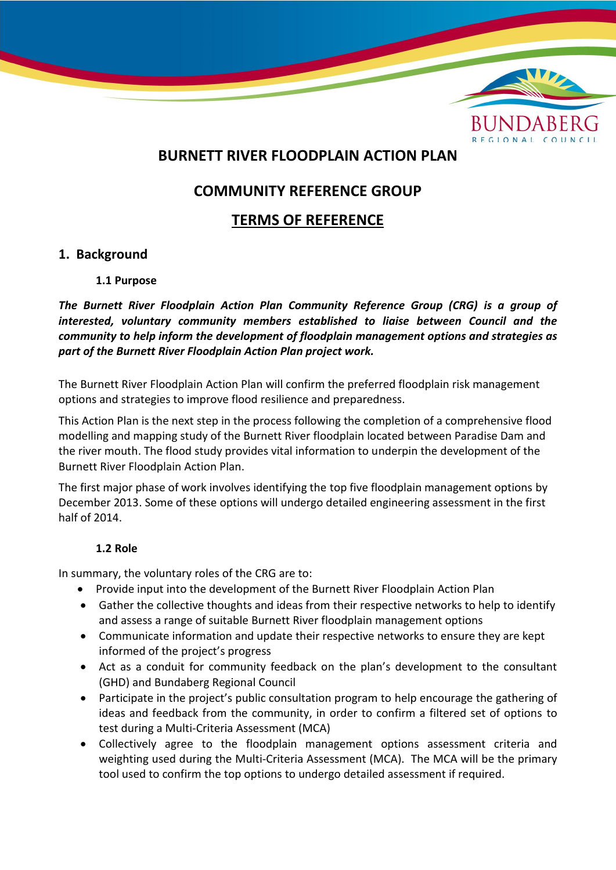

## **BURNETT RIVER FLOODPLAIN ACTION PLAN**

# **COMMUNITY REFERENCE GROUP**

## **TERMS OF REFERENCE**

## **1. Background**

### **1.1 Purpose**

*The Burnett River Floodplain Action Plan Community Reference Group (CRG) is a group of interested, voluntary community members established to liaise between Council and the community to help inform the development of floodplain management options and strategies as part of the Burnett River Floodplain Action Plan project work.*

The Burnett River Floodplain Action Plan will confirm the preferred floodplain risk management options and strategies to improve flood resilience and preparedness.

This Action Plan is the next step in the process following the completion of a comprehensive flood modelling and mapping study of the Burnett River floodplain located between Paradise Dam and the river mouth. The flood study provides vital information to underpin the development of the Burnett River Floodplain Action Plan.

The first major phase of work involves identifying the top five floodplain management options by December 2013. Some of these options will undergo detailed engineering assessment in the first half of 2014.

### **1.2 Role**

In summary, the voluntary roles of the CRG are to:

- Provide input into the development of the Burnett River Floodplain Action Plan
- Gather the collective thoughts and ideas from their respective networks to help to identify and assess a range of suitable Burnett River floodplain management options
- Communicate information and update their respective networks to ensure they are kept informed of the project's progress
- Act as a conduit for community feedback on the plan's development to the consultant (GHD) and Bundaberg Regional Council
- Participate in the project's public consultation program to help encourage the gathering of ideas and feedback from the community, in order to confirm a filtered set of options to test during a Multi-Criteria Assessment (MCA)
- Collectively agree to the floodplain management options assessment criteria and weighting used during the Multi-Criteria Assessment (MCA). The MCA will be the primary tool used to confirm the top options to undergo detailed assessment if required.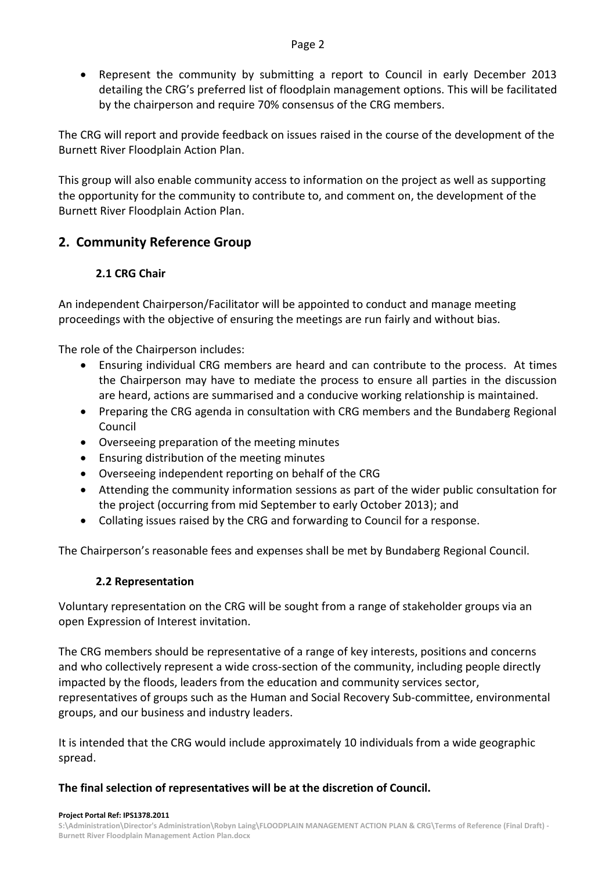Represent the community by submitting a report to Council in early December 2013 detailing the CRG's preferred list of floodplain management options. This will be facilitated by the chairperson and require 70% consensus of the CRG members.

The CRG will report and provide feedback on issues raised in the course of the development of the Burnett River Floodplain Action Plan.

This group will also enable community access to information on the project as well as supporting the opportunity for the community to contribute to, and comment on, the development of the Burnett River Floodplain Action Plan.

## **2. Community Reference Group**

## **2.1 CRG Chair**

An independent Chairperson/Facilitator will be appointed to conduct and manage meeting proceedings with the objective of ensuring the meetings are run fairly and without bias.

The role of the Chairperson includes:

- Ensuring individual CRG members are heard and can contribute to the process. At times the Chairperson may have to mediate the process to ensure all parties in the discussion are heard, actions are summarised and a conducive working relationship is maintained.
- Preparing the CRG agenda in consultation with CRG members and the Bundaberg Regional Council
- Overseeing preparation of the meeting minutes
- Ensuring distribution of the meeting minutes
- Overseeing independent reporting on behalf of the CRG
- Attending the community information sessions as part of the wider public consultation for the project (occurring from mid September to early October 2013); and
- Collating issues raised by the CRG and forwarding to Council for a response.

The Chairperson's reasonable fees and expenses shall be met by Bundaberg Regional Council.

### **2.2 Representation**

Voluntary representation on the CRG will be sought from a range of stakeholder groups via an open Expression of Interest invitation.

The CRG members should be representative of a range of key interests, positions and concerns and who collectively represent a wide cross-section of the community, including people directly impacted by the floods, leaders from the education and community services sector, representatives of groups such as the Human and Social Recovery Sub-committee, environmental groups, and our business and industry leaders.

It is intended that the CRG would include approximately 10 individuals from a wide geographic spread.

### **The final selection of representatives will be at the discretion of Council.**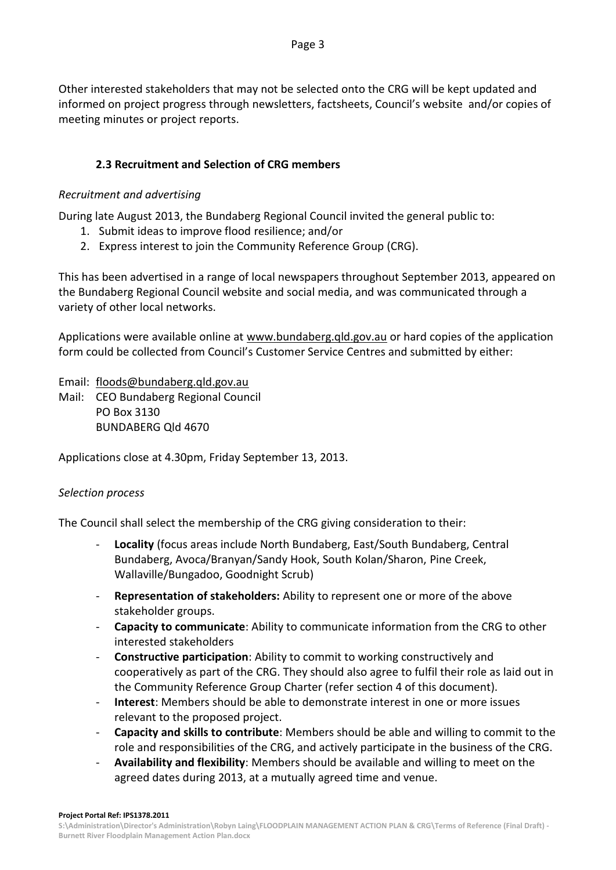Other interested stakeholders that may not be selected onto the CRG will be kept updated and informed on project progress through newsletters, factsheets, Council's website and/or copies of meeting minutes or project reports.

### **2.3 Recruitment and Selection of CRG members**

### *Recruitment and advertising*

During late August 2013, the Bundaberg Regional Council invited the general public to:

- 1. Submit ideas to improve flood resilience; and/or
- 2. Express interest to join the Community Reference Group (CRG).

This has been advertised in a range of local newspapers throughout September 2013, appeared on the Bundaberg Regional Council website and social media, and was communicated through a variety of other local networks.

Applications were available online at [www.bundaberg.qld.gov.au](http://www.bundaberg.qld.gov.au/) or hard copies of the application form could be collected from Council's Customer Service Centres and submitted by either:

Email: [floods@bundaberg.qld.gov.au](mailto:floods@bundaberg.qld.gov.au)

Mail: CEO Bundaberg Regional Council PO Box 3130 BUNDABERG Qld 4670

Applications close at 4.30pm, Friday September 13, 2013.

#### *Selection process*

The Council shall select the membership of the CRG giving consideration to their:

- Locality (focus areas include North Bundaberg, East/South Bundaberg, Central Bundaberg, Avoca/Branyan/Sandy Hook, South Kolan/Sharon, Pine Creek, Wallaville/Bungadoo, Goodnight Scrub)
- **Representation of stakeholders:** Ability to represent one or more of the above stakeholder groups.
- **Capacity to communicate**: Ability to communicate information from the CRG to other interested stakeholders
- **Constructive participation**: Ability to commit to working constructively and cooperatively as part of the CRG. They should also agree to fulfil their role as laid out in the Community Reference Group Charter (refer section 4 of this document).
- **Interest**: Members should be able to demonstrate interest in one or more issues relevant to the proposed project.
- **Capacity and skills to contribute**: Members should be able and willing to commit to the role and responsibilities of the CRG, and actively participate in the business of the CRG.
- **Availability and flexibility**: Members should be available and willing to meet on the agreed dates during 2013, at a mutually agreed time and venue.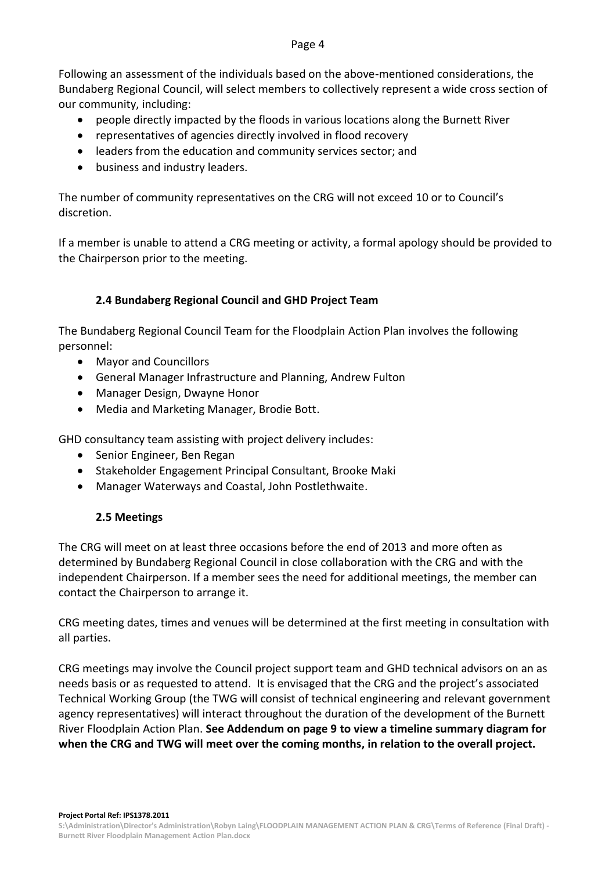#### Page 4

Following an assessment of the individuals based on the above-mentioned considerations, the Bundaberg Regional Council, will select members to collectively represent a wide cross section of our community, including:

- people directly impacted by the floods in various locations along the Burnett River
- representatives of agencies directly involved in flood recovery
- leaders from the education and community services sector; and
- business and industry leaders.

The number of community representatives on the CRG will not exceed 10 or to Council's discretion.

If a member is unable to attend a CRG meeting or activity, a formal apology should be provided to the Chairperson prior to the meeting.

## **2.4 Bundaberg Regional Council and GHD Project Team**

The Bundaberg Regional Council Team for the Floodplain Action Plan involves the following personnel:

- Mayor and Councillors
- General Manager Infrastructure and Planning, Andrew Fulton
- Manager Design, Dwayne Honor
- Media and Marketing Manager, Brodie Bott.

GHD consultancy team assisting with project delivery includes:

- Senior Engineer, Ben Regan
- Stakeholder Engagement Principal Consultant, Brooke Maki
- Manager Waterways and Coastal, John Postlethwaite.

### **2.5 Meetings**

The CRG will meet on at least three occasions before the end of 2013 and more often as determined by Bundaberg Regional Council in close collaboration with the CRG and with the independent Chairperson. If a member sees the need for additional meetings, the member can contact the Chairperson to arrange it.

CRG meeting dates, times and venues will be determined at the first meeting in consultation with all parties.

CRG meetings may involve the Council project support team and GHD technical advisors on an as needs basis or as requested to attend. It is envisaged that the CRG and the project's associated Technical Working Group (the TWG will consist of technical engineering and relevant government agency representatives) will interact throughout the duration of the development of the Burnett River Floodplain Action Plan. **See Addendum on page 9 to view a timeline summary diagram for when the CRG and TWG will meet over the coming months, in relation to the overall project.**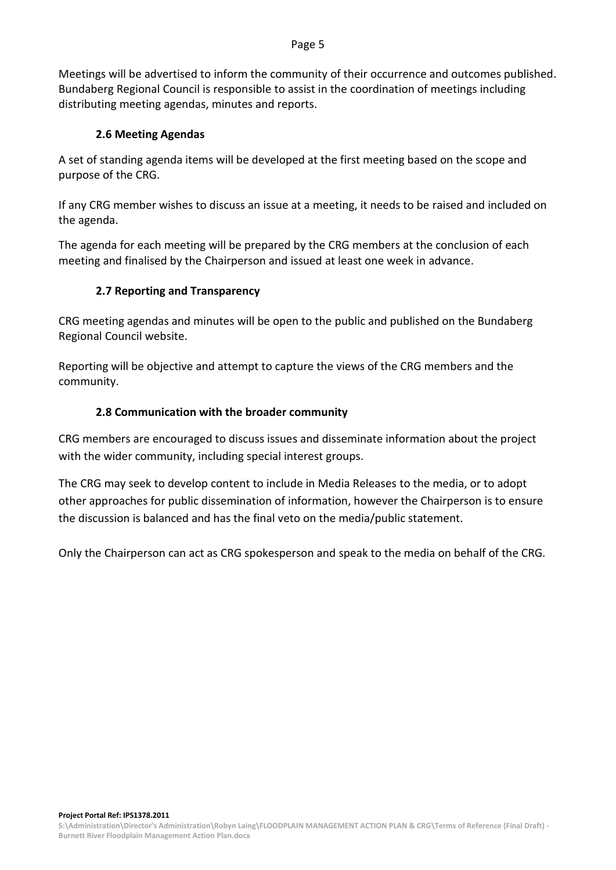#### Page 5

Meetings will be advertised to inform the community of their occurrence and outcomes published. Bundaberg Regional Council is responsible to assist in the coordination of meetings including distributing meeting agendas, minutes and reports.

#### **2.6 Meeting Agendas**

A set of standing agenda items will be developed at the first meeting based on the scope and purpose of the CRG.

If any CRG member wishes to discuss an issue at a meeting, it needs to be raised and included on the agenda.

The agenda for each meeting will be prepared by the CRG members at the conclusion of each meeting and finalised by the Chairperson and issued at least one week in advance.

#### **2.7 Reporting and Transparency**

CRG meeting agendas and minutes will be open to the public and published on the Bundaberg Regional Council website.

Reporting will be objective and attempt to capture the views of the CRG members and the community.

#### **2.8 Communication with the broader community**

CRG members are encouraged to discuss issues and disseminate information about the project with the wider community, including special interest groups.

The CRG may seek to develop content to include in Media Releases to the media, or to adopt other approaches for public dissemination of information, however the Chairperson is to ensure the discussion is balanced and has the final veto on the media/public statement.

Only the Chairperson can act as CRG spokesperson and speak to the media on behalf of the CRG.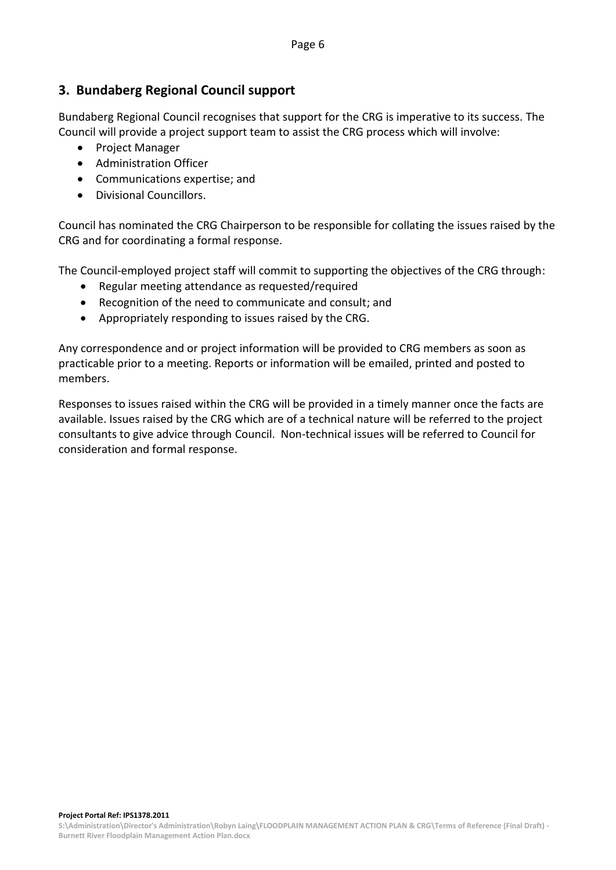## **3. Bundaberg Regional Council support**

Bundaberg Regional Council recognises that support for the CRG is imperative to its success. The Council will provide a project support team to assist the CRG process which will involve:

- Project Manager
- Administration Officer
- Communications expertise; and
- Divisional Councillors.

Council has nominated the CRG Chairperson to be responsible for collating the issues raised by the CRG and for coordinating a formal response.

The Council-employed project staff will commit to supporting the objectives of the CRG through:

- Regular meeting attendance as requested/required
- Recognition of the need to communicate and consult; and
- Appropriately responding to issues raised by the CRG.

Any correspondence and or project information will be provided to CRG members as soon as practicable prior to a meeting. Reports or information will be emailed, printed and posted to members.

Responses to issues raised within the CRG will be provided in a timely manner once the facts are available. Issues raised by the CRG which are of a technical nature will be referred to the project consultants to give advice through Council. Non-technical issues will be referred to Council for consideration and formal response.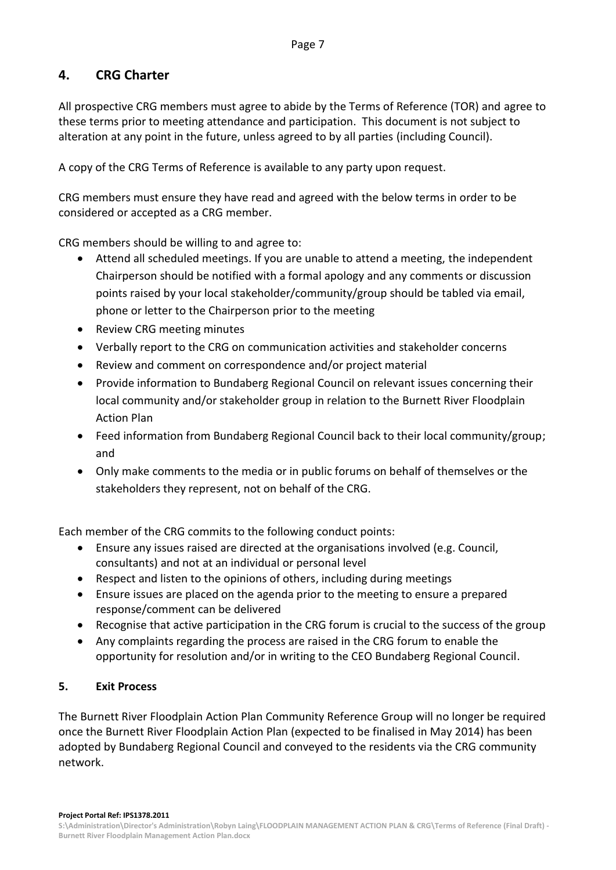## **4. CRG Charter**

All prospective CRG members must agree to abide by the Terms of Reference (TOR) and agree to these terms prior to meeting attendance and participation. This document is not subject to alteration at any point in the future, unless agreed to by all parties (including Council).

A copy of the CRG Terms of Reference is available to any party upon request.

CRG members must ensure they have read and agreed with the below terms in order to be considered or accepted as a CRG member.

CRG members should be willing to and agree to:

- Attend all scheduled meetings. If you are unable to attend a meeting, the independent Chairperson should be notified with a formal apology and any comments or discussion points raised by your local stakeholder/community/group should be tabled via email, phone or letter to the Chairperson prior to the meeting
- Review CRG meeting minutes
- Verbally report to the CRG on communication activities and stakeholder concerns
- Review and comment on correspondence and/or project material
- Provide information to Bundaberg Regional Council on relevant issues concerning their local community and/or stakeholder group in relation to the Burnett River Floodplain Action Plan
- Feed information from Bundaberg Regional Council back to their local community/group; and
- Only make comments to the media or in public forums on behalf of themselves or the stakeholders they represent, not on behalf of the CRG.

Each member of the CRG commits to the following conduct points:

- Ensure any issues raised are directed at the organisations involved (e.g. Council, consultants) and not at an individual or personal level
- Respect and listen to the opinions of others, including during meetings
- Ensure issues are placed on the agenda prior to the meeting to ensure a prepared response/comment can be delivered
- Recognise that active participation in the CRG forum is crucial to the success of the group
- Any complaints regarding the process are raised in the CRG forum to enable the opportunity for resolution and/or in writing to the CEO Bundaberg Regional Council.

### **5. Exit Process**

The Burnett River Floodplain Action Plan Community Reference Group will no longer be required once the Burnett River Floodplain Action Plan (expected to be finalised in May 2014) has been adopted by Bundaberg Regional Council and conveyed to the residents via the CRG community network.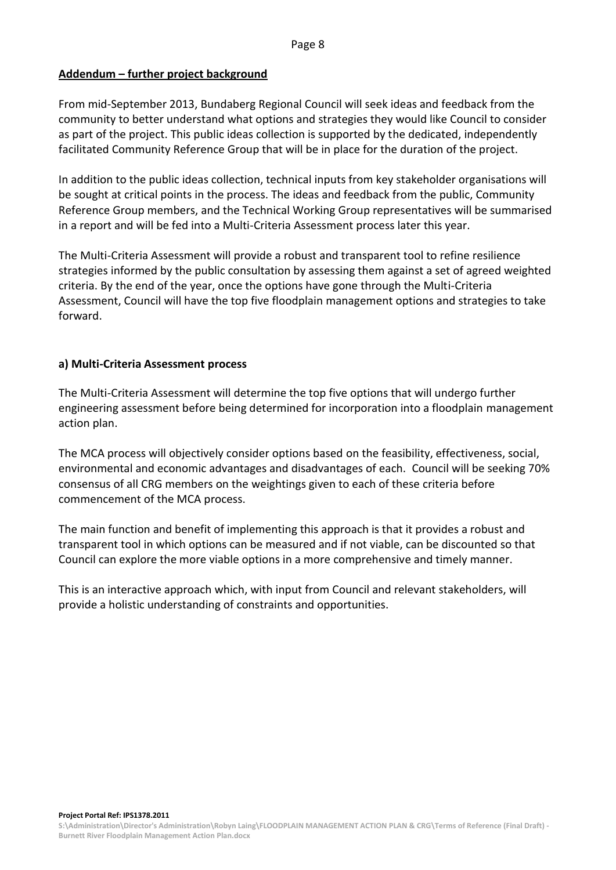#### **Addendum – further project background**

From mid-September 2013, Bundaberg Regional Council will seek ideas and feedback from the community to better understand what options and strategies they would like Council to consider as part of the project. This public ideas collection is supported by the dedicated, independently facilitated Community Reference Group that will be in place for the duration of the project.

In addition to the public ideas collection, technical inputs from key stakeholder organisations will be sought at critical points in the process. The ideas and feedback from the public, Community Reference Group members, and the Technical Working Group representatives will be summarised in a report and will be fed into a Multi-Criteria Assessment process later this year.

The Multi-Criteria Assessment will provide a robust and transparent tool to refine resilience strategies informed by the public consultation by assessing them against a set of agreed weighted criteria. By the end of the year, once the options have gone through the Multi-Criteria Assessment, Council will have the top five floodplain management options and strategies to take forward.

#### **a) Multi-Criteria Assessment process**

The Multi-Criteria Assessment will determine the top five options that will undergo further engineering assessment before being determined for incorporation into a floodplain management action plan.

The MCA process will objectively consider options based on the feasibility, effectiveness, social, environmental and economic advantages and disadvantages of each. Council will be seeking 70% consensus of all CRG members on the weightings given to each of these criteria before commencement of the MCA process.

The main function and benefit of implementing this approach is that it provides a robust and transparent tool in which options can be measured and if not viable, can be discounted so that Council can explore the more viable options in a more comprehensive and timely manner.

This is an interactive approach which, with input from Council and relevant stakeholders, will provide a holistic understanding of constraints and opportunities.